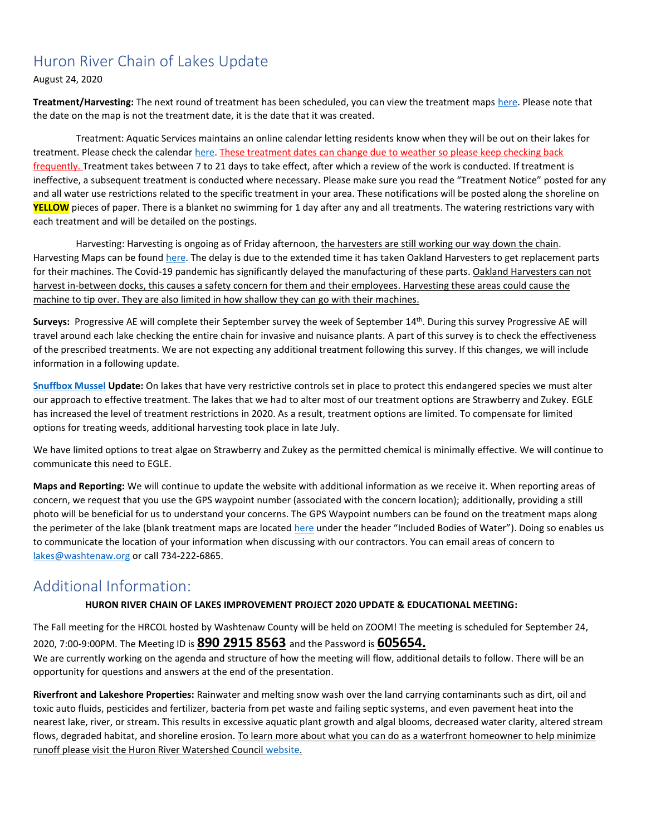#### Huron River Chain of Lakes Update

August 24, 2020

**Treatment/Harvesting:** The next round of treatment has been scheduled, you can view the treatment maps [here.](https://www.washtenaw.org/799/Chain-of-Lakes-Weed-Control-Activities) Please note that the date on the map is not the treatment date, it is the date that it was created.

Treatment: Aquatic Services maintains an online calendar letting residents know when they will be out on their lakes for treatment. Please check the calendar [here.](https://www.aquaticservicesinc.info/schedules) These treatment dates can change due to weather so please keep checking back frequently. Treatment takes between 7 to 21 days to take effect, after which a review of the work is conducted. If treatment is ineffective, a subsequent treatment is conducted where necessary. Please make sure you read the "Treatment Notice" posted for any and all water use restrictions related to the specific treatment in your area. These notifications will be posted along the shoreline on **YELLOW** pieces of paper. There is a blanket no swimming for 1 day after any and all treatments. The watering restrictions vary with each treatment and will be detailed on the postings.

Harvesting: Harvesting is ongoing as of Friday afternoon, the harvesters are still working our way down the chain. Harvesting Maps can be found [here.](https://www.washtenaw.org/799/Chain-of-Lakes-Weed-Control-Activities) The delay is due to the extended time it has taken Oakland Harvesters to get replacement parts for their machines. The Covid-19 pandemic has significantly delayed the manufacturing of these parts. Oakland Harvesters can not harvest in-between docks, this causes a safety concern for them and their employees. Harvesting these areas could cause the machine to tip over. They are also limited in how shallow they can go with their machines.

Surveys: Progressive AE will complete their September survey the week of September 14<sup>th</sup>. During this survey Progressive AE will travel around each lake checking the entire chain for invasive and nuisance plants. A part of this survey is to check the effectiveness of the prescribed treatments. We are not expecting any additional treatment following this survey. If this changes, we will include information in a following update.

**[Snuffbox Mussel](https://www.fws.gov/midwest/endangered/clams/snuffbox/SnuffboxFactSheet.html) Update:** On lakes that have very restrictive controls set in place to protect this endangered species we must alter our approach to effective treatment. The lakes that we had to alter most of our treatment options are Strawberry and Zukey. EGLE has increased the level of treatment restrictions in 2020. As a result, treatment options are limited. To compensate for limited options for treating weeds, additional harvesting took place in late July.

We have limited options to treat algae on Strawberry and Zukey as the permitted chemical is minimally effective. We will continue to communicate this need to EGLE.

**Maps and Reporting:** We will continue to update the website with additional information as we receive it. When reporting areas of concern, we request that you use the GPS waypoint number (associated with the concern location); additionally, providing a still photo will be beneficial for us to understand your concerns. The GPS Waypoint numbers can be found on the treatment maps along the perimeter of the lake (blank treatment maps are located [here](https://www.washtenaw.org/327/Chain-of-Lakes) under the header "Included Bodies of Water"). Doing so enables us to communicate the location of your information when discussing with our contractors. You can email areas of concern to [lakes@washtenaw.org](mailto:lakes@washtenaw.org) or call 734-222-6865.

#### Additional Information:

#### **HURON RIVER CHAIN OF LAKES IMPROVEMENT PROJECT 2020 UPDATE & EDUCATIONAL MEETING:**

The Fall meeting for the HRCOL hosted by Washtenaw County will be held on ZOOM! The meeting is scheduled for September 24, 2020, 7:00-9:00PM. The Meeting ID is **890 2915 8563** and the Password is **605654.** 

We are currently working on the agenda and structure of how the meeting will flow, additional details to follow. There will be an opportunity for questions and answers at the end of the presentation.

**Riverfront and Lakeshore Properties:** Rainwater and melting snow wash over the land carrying contaminants such as dirt, oil and toxic auto fluids, pesticides and fertilizer, bacteria from pet waste and failing septic systems, and even pavement heat into the nearest lake, river, or stream. This results in excessive aquatic plant growth and algal blooms, decreased water clarity, altered stream flows, degraded habitat, and shoreline erosion. To learn more about what you can do as a waterfront homeowner to help minimize runoff please visit the Huron River Watershed Council [website.](https://www.hrwc.org/take-action/at-home/riverfront-lakeshore-properties/)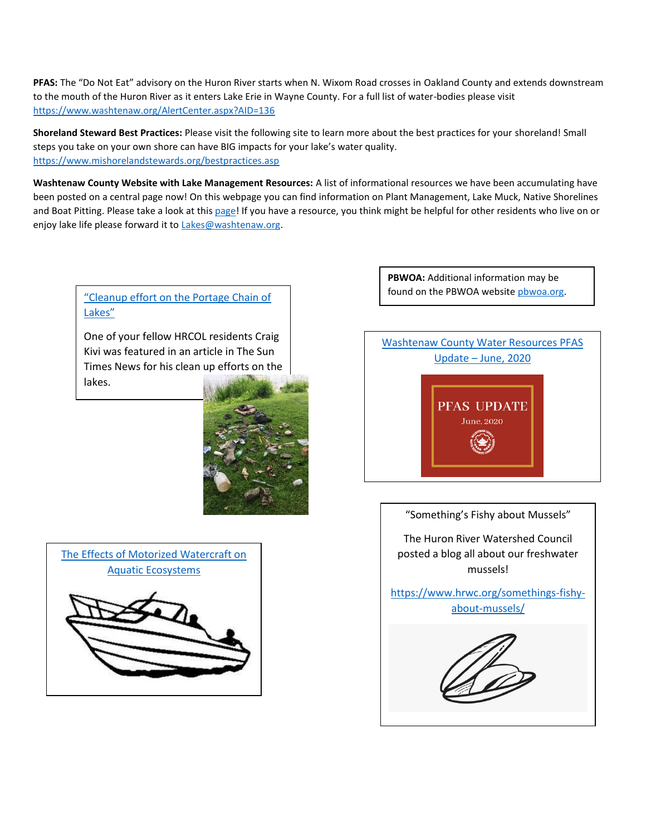**PFAS:** The "Do Not Eat" advisory on the Huron River starts when N. Wixom Road crosses in Oakland County and extends downstream to the mouth of the Huron River as it enters Lake Erie in Wayne County. For a full list of water-bodies please visit <https://www.washtenaw.org/AlertCenter.aspx?AID=136>

**Shoreland Steward Best Practices:** Please visit the following site to learn more about the best practices for your shoreland! Small steps you take on your own shore can have BIG impacts for your lake's water quality. [https://www.mishorelandstewards.org/bestpractices.asp](https://gcc01.safelinks.protection.outlook.com/?url=https%3A%2F%2Fwww.mishorelandstewards.org%2Fbestpractices.asp&data=02%7C01%7Ckoloskil%40washtenaw.org%7Cc1099d767abc47df4fd108d6ffc1b605%7C940f79927c85414e8cb10632dd3a5282%7C0%7C0%7C636977604786419415&sdata=y9VJuglOwLSYM%2F8PlrbVRfiz7aXv3RoGR2iMVcbKcuY%3D&reserved=0)

**Washtenaw County Website with Lake Management Resources:** A list of informational resources we have been accumulating have been posted on a central page now! On this webpage you can find information on Plant Management, Lake Muck, Native Shorelines and Boat Pitting. Please take a look at this [page!](https://www.washtenaw.org/3062/Lake-Management-Resources) If you have a resource, you think might be helpful for other residents who live on or enjoy lake life please forward it to [Lakes@washtenaw.org.](mailto:Lakes@washtenaw.org)

## [Lakes"](https://thesuntimesnews.com/cleanup-effort-on-the-portage-chain-of-lakes/)

One of your fellow HRCOL residents Craig Kivi was featured in an article in The Sun Times News for his clean up efforts on the lakes.



**PBWOA:** Additional information may be ["Cleanup effort on the Portage Chain of](https://thesuntimesnews.com/cleanup-effort-on-the-portage-chain-of-lakes/) The Cleanup of the PBWOA website physical org.



#### "Something's Fishy about Mussels"

The Huron River Watershed Council posted a blog all about our freshwater mussels!

[https://www.hrwc.org/somethings-fishy](https://www.hrwc.org/somethings-fishy-about-mussels/)[about-mussels/](https://www.hrwc.org/somethings-fishy-about-mussels/)